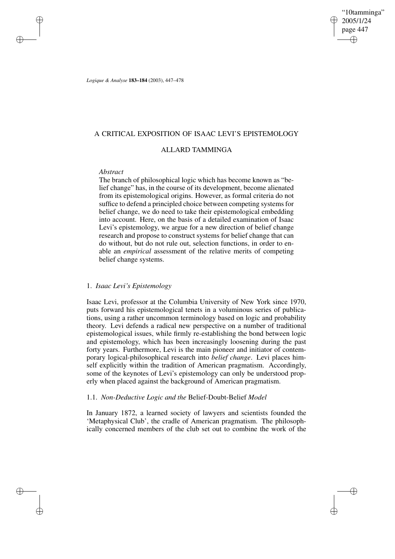"10tamminga" 2005/1/24 page 447 ✐ ✐

✐

✐

*Logique & Analyse* **183–184** (2003), 447–478

# A CRITICAL EXPOSITION OF ISAAC LEVI'S EPISTEMOLOGY

# ALLARD TAMMINGA

# *Abstract*

✐

✐

✐

✐

The branch of philosophical logic which has become known as "belief change" has, in the course of its development, become alienated from its epistemological origins. However, as formal criteria do not suffice to defend a principled choice between competing systems for belief change, we do need to take their epistemological embedding into account. Here, on the basis of a detailed examination of Isaac Levi's epistemology, we argue for a new direction of belief change research and propose to construct systems for belief change that can do without, but do not rule out, selection functions, in order to enable an *empirical* assessment of the relative merits of competing belief change systems.

# 1. *Isaac Levi's Epistemology*

Isaac Levi, professor at the Columbia University of New York since 1970, puts forward his epistemological tenets in a voluminous series of publications, using a rather uncommon terminology based on logic and probability theory. Levi defends a radical new perspective on a number of traditional epistemological issues, while firmly re-establishing the bond between logic and epistemology, which has been increasingly loosening during the past forty years. Furthermore, Levi is the main pioneer and initiator of contemporary logical-philosophical research into *belief change*. Levi places himself explicitly within the tradition of American pragmatism. Accordingly, some of the keynotes of Levi's epistemology can only be understood properly when placed against the background of American pragmatism.

# 1.1. *Non-Deductive Logic and the* Belief-Doubt-Belief *Model*

In January 1872, a learned society of lawyers and scientists founded the 'Metaphysical Club', the cradle of American pragmatism. The philosophically concerned members of the club set out to combine the work of the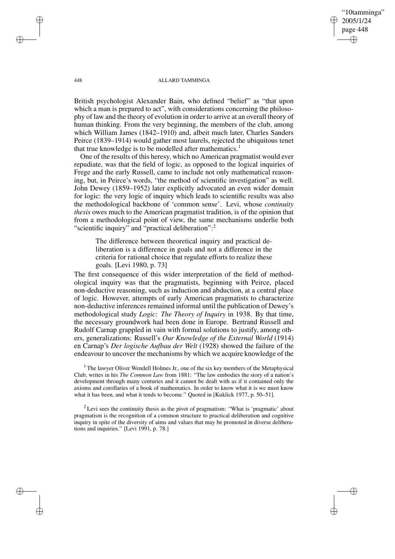"10tamminga" 2005/1/24 page 448 ✐ ✐

✐

✐

### 448 ALLARD TAMMINGA

British psychologist Alexander Bain, who defined "belief" as "that upon which a man is prepared to act", with considerations concerning the philosophy of law and the theory of evolution in order to arrive at an overall theory of human thinking. From the very beginning, the members of the club, among which William James (1842–1910) and, albeit much later, Charles Sanders Peirce (1839–1914) would gather most laurels, rejected the ubiquitous tenet that true knowledge is to be modelled after mathematics.<sup>1</sup>

One of the results of this heresy, which no American pragmatist would ever repudiate, was that the field of logic, as opposed to the logical inquiries of Frege and the early Russell, came to include not only mathematical reasoning, but, in Peirce's words, "the method of scientific investigation" as well. John Dewey (1859–1952) later explicitly advocated an even wider domain for logic: the very logic of inquiry which leads to scientific results was also the methodological backbone of 'common sense'. Levi, whose *continuity thesis* owes much to the American pragmatist tradition, is of the opinion that from a methodological point of view, the same mechanisms underlie both "scientific inquiry" and "practical deliberation":<sup>2</sup>

The difference between theoretical inquiry and practical deliberation is a difference in goals and not a difference in the criteria for rational choice that regulate efforts to realize these goals. [Levi 1980, p. 73]

The first consequence of this wider interpretation of the field of methodological inquiry was that the pragmatists, beginning with Peirce, placed non-deductive reasoning, such as induction and abduction, at a central place of logic. However, attempts of early American pragmatists to characterize non-deductive inferences remained informal until the publication of Dewey's methodological study *Logic: The Theory of Inquiry* in 1938. By that time, the necessary groundwork had been done in Europe. Bertrand Russell and Rudolf Carnap grappled in vain with formal solutions to justify, among others, generalizations: Russell's *Our Knowledge of the External World* (1914) en Carnap's *Der logische Aufbau der Welt* (1928) showed the failure of the endeavour to uncover the mechanisms by which we acquire knowledge of the

<sup>1</sup> The lawyer Oliver Wendell Holmes Jr., one of the six key members of the Metaphysical Club, writes in his *The Common Law* from 1881: "The law embodies the story of a nation's development through many centuries and it cannot be dealt with as if it contained only the axioms and corollaries of a book of mathematics. In order to know what it is we must know what it has been, and what it tends to become." Quoted in [Kuklick 1977, p. 50–51].

 $2$  Levi sees the continuity thesis as the pivot of pragmatism: "What is 'pragmatic' about pragmatism is the recognition of a common structure to practical deliberation and cognitive inquiry in spite of the diversity of aims and values that may be promoted in diverse deliberations and inquiries." [Levi 1991, p. 78.]

✐

✐

✐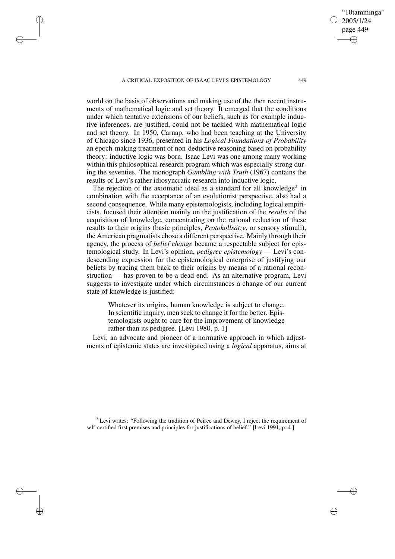A CRITICAL EXPOSITION OF ISAAC LEVI'S EPISTEMOLOGY 449

✐

✐

✐

✐

world on the basis of observations and making use of the then recent instruments of mathematical logic and set theory. It emerged that the conditions under which tentative extensions of our beliefs, such as for example inductive inferences, are justified, could not be tackled with mathematical logic and set theory. In 1950, Carnap, who had been teaching at the University of Chicago since 1936, presented in his *Logical Foundations of Probability* an epoch-making treatment of non-deductive reasoning based on probability theory: inductive logic was born. Isaac Levi was one among many working within this philosophical research program which was especially strong during the seventies. The monograph *Gambling with Truth* (1967) contains the results of Levi's rather idiosyncratic research into inductive logic.

The rejection of the axiomatic ideal as a standard for all knowledge<sup>3</sup> in combination with the acceptance of an evolutionist perspective, also had a second consequence. While many epistemologists, including logical empiricists, focused their attention mainly on the justification of the *results* of the acquisition of knowledge, concentrating on the rational reduction of these results to their origins (basic principles, *Protokollsätze*, or sensory stimuli), the American pragmatists chose a different perspective. Mainly through their agency, the process of *belief change* became a respectable subject for epistemological study. In Levi's opinion, *pedigree epistemology* — Levi's condescending expression for the epistemological enterprise of justifying our beliefs by tracing them back to their origins by means of a rational reconstruction — has proven to be a dead end. As an alternative program, Levi suggests to investigate under which circumstances a change of our current state of knowledge is justified:

Whatever its origins, human knowledge is subject to change. In scientific inquiry, men seek to change it for the better. Epistemologists ought to care for the improvement of knowledge rather than its pedigree. [Levi 1980, p. 1]

Levi, an advocate and pioneer of a normative approach in which adjustments of epistemic states are investigated using a *logical* apparatus, aims at

<sup>3</sup> Levi writes: "Following the tradition of Peirce and Dewey, I reject the requirement of self-certified first premises and principles for justifications of belief." [Levi 1991, p. 4.]

"10tamminga" 2005/1/24 page 449

✐

✐

✐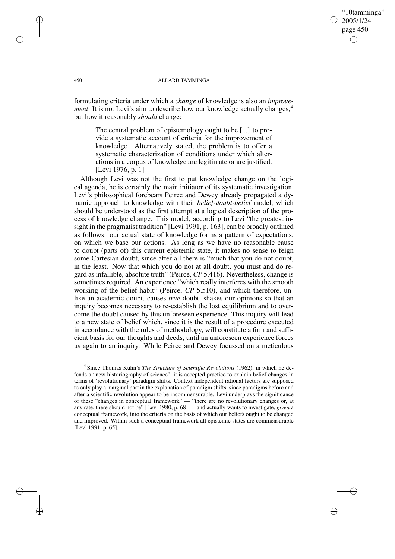"10tamminga" 2005/1/24 page 450 ✐ ✐

✐

✐

### 450 ALLARD TAMMINGA

formulating criteria under which a *change* of knowledge is also an *improvement*. It is not Levi's aim to describe how our knowledge actually changes,<sup>4</sup> but how it reasonably *should* change:

The central problem of epistemology ought to be [...] to provide a systematic account of criteria for the improvement of knowledge. Alternatively stated, the problem is to offer a systematic characterization of conditions under which alterations in a corpus of knowledge are legitimate or are justified. [Levi 1976, p. 1]

Although Levi was not the first to put knowledge change on the logical agenda, he is certainly the main initiator of its systematic investigation. Levi's philosophical forebears Peirce and Dewey already propagated a dynamic approach to knowledge with their *belief-doubt-belief* model, which should be understood as the first attempt at a logical description of the process of knowledge change. This model, according to Levi "the greatest insight in the pragmatist tradition" [Levi 1991, p. 163], can be broadly outlined as follows: our actual state of knowledge forms a pattern of expectations, on which we base our actions. As long as we have no reasonable cause to doubt (parts of) this current epistemic state, it makes no sense to feign some Cartesian doubt, since after all there is "much that you do not doubt, in the least. Now that which you do not at all doubt, you must and do regard as infallible, absolute truth" (Peirce, *CP* 5.416). Nevertheless, change is sometimes required. An experience "which really interferes with the smooth working of the belief-habit" (Peirce, *CP* 5.510), and which therefore, unlike an academic doubt, causes *true* doubt, shakes our opinions so that an inquiry becomes necessary to re-establish the lost equilibrium and to overcome the doubt caused by this unforeseen experience. This inquiry will lead to a new state of belief which, since it is the result of a procedure executed in accordance with the rules of methodology, will constitute a firm and sufficient basis for our thoughts and deeds, until an unforeseen experience forces us again to an inquiry. While Peirce and Dewey focussed on a meticulous

✐

✐

✐

<sup>4</sup> Since Thomas Kuhn's *The Structure of Scientific Revolutions* (1962), in which he defends a "new historiography of science", it is accepted practice to explain belief changes in terms of 'revolutionary' paradigm shifts. Context independent rational factors are supposed to only play a marginal part in the explanation of paradigm shifts, since paradigms before and after a scientific revolution appear to be incommensurable. Levi underplays the significance of these "changes in conceptual framework" — "there are no revolutionary changes or, at any rate, there should not be" [Levi 1980, p. 68] — and actually wants to investigate, *given* a conceptual framework, into the criteria on the basis of which our beliefs ought to be changed and improved. Within such a conceptual framework all epistemic states are commensurable [Levi 1991, p. 65].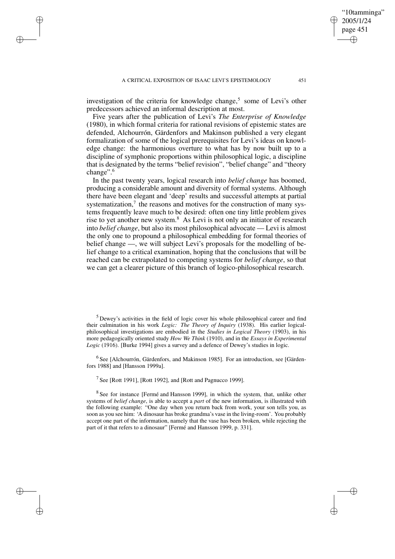✐

✐

✐

✐

✐

✐

"10tamminga"

investigation of the criteria for knowledge change,<sup>5</sup> some of Levi's other predecessors achieved an informal description at most.

Five years after the publication of Levi's *The Enterprise of Knowledge* (1980), in which formal criteria for rational revisions of epistemic states are defended, Alchourrón, Gärdenfors and Makinson published a very elegant formalization of some of the logical prerequisites for Levi's ideas on knowledge change: the harmonious overture to what has by now built up to a discipline of symphonic proportions within philosophical logic, a discipline that is designated by the terms "belief revision", "belief change" and "theory change".<sup>6</sup>

In the past twenty years, logical research into *belief change* has boomed, producing a considerable amount and diversity of formal systems. Although there have been elegant and 'deep' results and successful attempts at partial systematization, $7$  the reasons and motives for the construction of many systems frequently leave much to be desired: often one tiny little problem gives rise to yet another new system.<sup>8</sup> As Levi is not only an initiator of research into *belief change*, but also its most philosophical advocate — Levi is almost the only one to propound a philosophical embedding for formal theories of belief change —, we will subject Levi's proposals for the modelling of belief change to a critical examination, hoping that the conclusions that will be reached can be extrapolated to competing systems for *belief change*, so that we can get a clearer picture of this branch of logico-philosophical research.

<sup>5</sup> Dewey's activities in the field of logic cover his whole philosophical career and find their culmination in his work *Logic: The Theory of Inquiry* (1938). His earlier logicalphilosophical investigations are embodied in the *Studies in Logical Theory* (1903), in his more pedagogically oriented study *How We Think* (1910), and in the *Essays in Experimental Logic* (1916). [Burke 1994] gives a survey and a defence of Dewey's studies in logic.

<sup>6</sup> See [Alchourrón, Gärdenfors, and Makinson 1985]. For an introduction, see [Gärdenfors 1988] and [Hansson 1999a].

<sup>7</sup> See [Rott 1991], [Rott 1992], and [Rott and Pagnucco 1999].

<sup>8</sup> See for instance [Fermé and Hansson 1999], in which the system, that, unlike other systems of *belief change*, is able to accept a *part* of the new information, is illustrated with the following example: "One day when you return back from work, your son tells you, as soon as you see him: 'A dinosaur has broke grandma's vase in the living-room'. You probably accept one part of the information, namely that the vase has been broken, while rejecting the part of it that refers to a dinosaur" [Fermé and Hansson 1999, p. 331].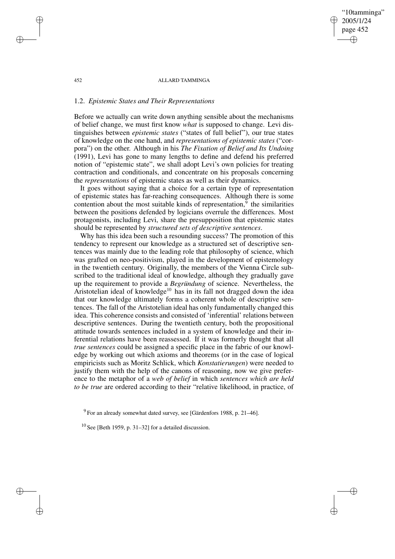"10tamminga" 2005/1/24 page 452 ✐ ✐

✐

✐

#### 452 ALLARD TAMMINGA

## 1.2. *Epistemic States and Their Representations*

✐

✐

✐

✐

Before we actually can write down anything sensible about the mechanisms of belief change, we must first know *what* is supposed to change. Levi distinguishes between *epistemic states* ("states of full belief"), our true states of knowledge on the one hand, and *representations of epistemic states* ("corpora") on the other. Although in his *The Fixation of Belief and Its Undoing* (1991), Levi has gone to many lengths to define and defend his preferred notion of "epistemic state", we shall adopt Levi's own policies for treating contraction and conditionals, and concentrate on his proposals concerning the *representations* of epistemic states as well as their dynamics.

It goes without saying that a choice for a certain type of representation of epistemic states has far-reaching consequences. Although there is some contention about the most suitable kinds of representation, $9$  the similarities between the positions defended by logicians overrule the differences. Most protagonists, including Levi, share the presupposition that epistemic states should be represented by *structured sets of descriptive sentences*.

Why has this idea been such a resounding success? The promotion of this tendency to represent our knowledge as a structured set of descriptive sentences was mainly due to the leading role that philosophy of science, which was grafted on neo-positivism, played in the development of epistemology in the twentieth century. Originally, the members of the Vienna Circle subscribed to the traditional ideal of knowledge, although they gradually gave up the requirement to provide a *Begründung* of science. Nevertheless, the Aristotelian ideal of knowledge<sup>10</sup> has in its fall not dragged down the idea that our knowledge ultimately forms a coherent whole of descriptive sentences. The fall of the Aristotelian ideal has only fundamentally changed this idea. This coherence consists and consisted of 'inferential' relations between descriptive sentences. During the twentieth century, both the propositional attitude towards sentences included in a system of knowledge and their inferential relations have been reassessed. If it was formerly thought that all *true sentences* could be assigned a specific place in the fabric of our knowledge by working out which axioms and theorems (or in the case of logical empiricists such as Moritz Schlick, which *Konstatierungen*) were needed to justify them with the help of the canons of reasoning, now we give preference to the metaphor of a *web of belief* in which *sentences which are held to be true* are ordered according to their "relative likelihood, in practice, of

 $10$  See [Beth 1959, p. 31–32] for a detailed discussion.

 $^{9}$  For an already somewhat dated survey, see [Gärdenfors 1988, p. 21–46].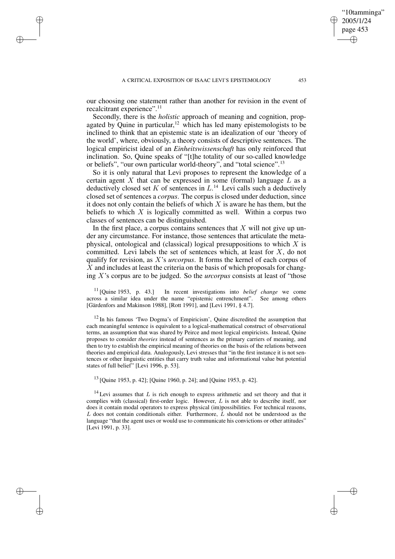✐

✐

✐

our choosing one statement rather than another for revision in the event of recalcitrant experience".<sup>11</sup>

Secondly, there is the *holistic* approach of meaning and cognition, propagated by Quine in particular,<sup>12</sup> which has led many epistemologists to be inclined to think that an epistemic state is an idealization of our 'theory of the world', where, obviously, a theory consists of descriptive sentences. The logical empiricist ideal of an *Einheitswissenschaft* has only reinforced that inclination. So, Quine speaks of "[t]he totality of our so-called knowledge or beliefs", "our own particular world-theory", and "total science".<sup>13</sup>

So it is only natural that Levi proposes to represent the knowledge of a certain agent X that can be expressed in some (formal) language  $\overline{L}$  as a deductively closed set K of sentences in  $L^{14}$  Levi calls such a deductively closed set of sentences a *corpus*. The corpus is closed under deduction, since it does not only contain the beliefs of which  $X$  is aware he has them, but the beliefs to which  $X$  is logically committed as well. Within a corpus two classes of sentences can be distinguished.

In the first place, a corpus contains sentences that  $X$  will not give up under any circumstance. For instance, those sentences that articulate the metaphysical, ontological and (classical) logical presuppositions to which  $X$  is committed. Levi labels the set of sentences which, at least for  $X$ , do not qualify for revision, as X's *urcorpus*. It forms the kernel of each corpus of X and includes at least the criteria on the basis of which proposals for changing X's corpus are to be judged. So the *urcorpus* consists at least of "those

<sup>11</sup> [Quine 1953, p. 43.] In recent investigations into *belief change* we come across a similar idea under the name "epistemic entrenchment". See among others [Gärdenfors and Makinson 1988], [Rott 1991], and [Levi 1991, § 4.7].

<sup>12</sup> In his famous 'Two Dogma's of Empiricism', Quine discredited the assumption that each meaningful sentence is equivalent to a logical-mathematical construct of observational terms, an assumption that was shared by Peirce and most logical empiricists. Instead, Quine proposes to consider *theories* instead of sentences as the primary carriers of meaning, and then to try to establish the empirical meaning of theories on the basis of the relations between theories and empirical data. Analogously, Levi stresses that "in the first instance it is not sentences or other linguistic entities that carry truth value and informational value but potential states of full belief" [Levi 1996, p. 53].

<sup>13</sup> [Quine 1953, p. 42]; [Quine 1960, p. 24]; and [Quine 1953, p. 42].

 $14$  Levi assumes that L is rich enough to express arithmetic and set theory and that it complies with (classical) first-order logic. However,  $L$  is not able to describe itself, nor does it contain modal operators to express physical (im)possibilities. For technical reasons,  $L$  does not contain conditionals either. Furthermore,  $L$  should not be understood as the language "that the agent uses or would use to communicate his convictions or other attitudes" [Levi 1991, p. 33].

"10tamminga" 2005/1/24 page 453

✐

✐

✐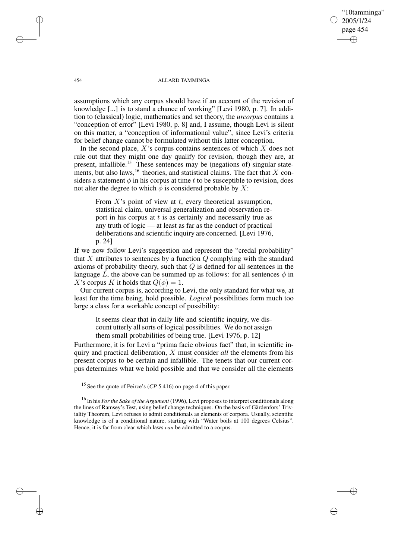"10tamminga" 2005/1/24 page 454 ✐ ✐

✐

✐

### 454 ALLARD TAMMINGA

assumptions which any corpus should have if an account of the revision of knowledge [...] is to stand a chance of working" [Levi 1980, p. 7]. In addition to (classical) logic, mathematics and set theory, the *urcorpus* contains a "conception of error" [Levi 1980, p. 8] and, I assume, though Levi is silent on this matter, a "conception of informational value", since Levi's criteria for belief change cannot be formulated without this latter conception.

In the second place,  $X$ 's corpus contains sentences of which  $X$  does not rule out that they might one day qualify for revision, though they are, at present, infallible.<sup>15</sup> These sentences may be (negations of) singular statements, but also laws,  $^{16}$  theories, and statistical claims. The fact that X considers a statement  $\phi$  in his corpus at time t to be susceptible to revision, does not alter the degree to which  $\phi$  is considered probable by X:

From  $X$ 's point of view at  $t$ , every theoretical assumption, statistical claim, universal generalization and observation report in his corpus at  $t$  is as certainly and necessarily true as any truth of logic — at least as far as the conduct of practical deliberations and scientific inquiry are concerned. [Levi 1976, p. 24]

If we now follow Levi's suggestion and represent the "credal probability" that  $X$  attributes to sentences by a function  $Q$  complying with the standard axioms of probability theory, such that  $Q$  is defined for all sentences in the language L, the above can be summed up as follows: for all sentences  $\phi$  in X's corpus K it holds that  $Q(\phi) = 1$ .

Our current corpus is, according to Levi, the only standard for what we, at least for the time being, hold possible. *Logical* possibilities form much too large a class for a workable concept of possibility:

It seems clear that in daily life and scientific inquiry, we discount utterly allsorts of logical possibilities. We do not assign them small probabilities of being true. [Levi 1976, p. 12]

Furthermore, it is for Levi a "prima facie obvious fact" that, in scientific inquiry and practical deliberation, X must consider *all* the elements from his present corpus to be certain and infallible. The tenets that our current corpus determines what we hold possible and that we consider all the elements

✐

✐

✐

<sup>&</sup>lt;sup>15</sup> See the quote of Peirce's (*CP* 5.416) on page 4 of this paper.

<sup>16</sup> In his *For the Sake of the Argument* (1996), Levi proposes to interpret conditionals along the lines of Ramsey's Test, using belief change techniques. On the basis of Gärdenfors' Triviality Theorem, Levi refuses to admit conditionals as elements of corpora. Usually, scientific knowledge is of a conditional nature, starting with "Water boils at 100 degrees Celsius". Hence, it is far from clear which laws *can* be admitted to a corpus.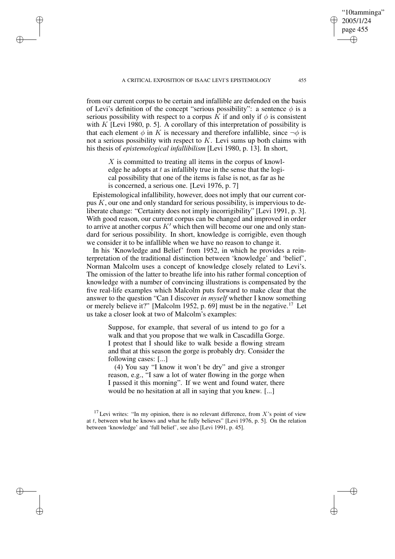✐

✐

✐

from our current corpus to be certain and infallible are defended on the basis of Levi's definition of the concept "serious possibility": a sentence  $\phi$  is a serious possibility with respect to a corpus K if and only if  $\phi$  is consistent with K [Levi 1980, p. 5]. A corollary of this interpretation of possibility is that each element  $\phi$  in K is necessary and therefore infallible, since  $\neg \phi$  is not a serious possibility with respect to  $K$ . Levi sums up both claims with his thesis of *epistemological infallibilism* [Levi 1980, p. 13]. In short,

X is committed to treating all items in the corpus of knowledge he adopts at  $t$  as infallibly true in the sense that the logical possibility that one of the items is false is not, as far as he is concerned, a serious one. [Levi 1976, p. 7]

Epistemological infallibility, however, does not imply that our current corpus  $K$ , our one and only standard for serious possibility, is impervious to deliberate change: "Certainty does not imply incorrigibility" [Levi 1991, p. 3]. With good reason, our current corpus can be changed and improved in order to arrive at another corpus  $K'$  which then will become our one and only standard for serious possibility. In short, knowledge is corrigible, even though we consider it to be infallible when we have no reason to change it.

In his 'Knowledge and Belief' from 1952, in which he provides a reinterpretation of the traditional distinction between 'knowledge' and 'belief', Norman Malcolm uses a concept of knowledge closely related to Levi's. The omission of the latter to breathe life into his rather formal conception of knowledge with a number of convincing illustrations is compensated by the five real-life examples which Malcolm puts forward to make clear that the answer to the question "Can I discover *in myself* whether I know something or merely believe it?" [Malcolm 1952, p. 69] must be in the negative.<sup>17</sup> Let us take a closer look at two of Malcolm's examples:

Suppose, for example, that several of us intend to go for a walk and that you propose that we walk in Cascadilla Gorge. I protest that I should like to walk beside a flowing stream and that at this season the gorge is probably dry. Consider the following cases: [...]

(4) You say "I know it won't be dry" and give a stronger reason, e.g., "I saw a lot of water flowing in the gorge when I passed it this morning". If we went and found water, there would be no hesitation at all in saying that you knew. [...]

<sup>17</sup> Levi writes: "In my opinion, there is no relevant difference, from X's point of view at t, between what he knows and what he fully believes" [Levi 1976, p. 5]. On the relation between 'knowledge' and 'full belief', see also [Levi 1991, p. 45].

"10tamminga" 2005/1/24 page 455

✐

✐

✐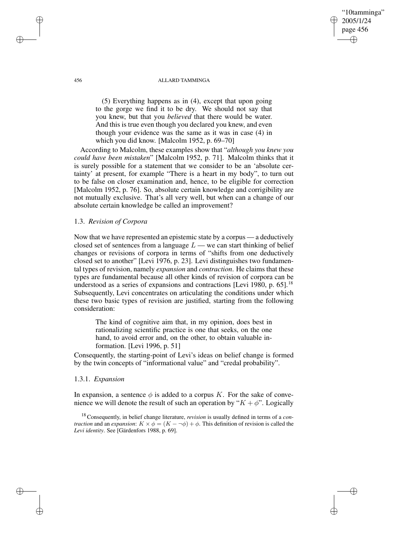### 456 ALLARD TAMMINGA

"10tamminga" 2005/1/24 page 456

✐

✐

✐

✐

(5) Everything happens as in (4), except that upon going to the gorge we find it to be dry. We should not say that you knew, but that you *believed* that there would be water. And this is true even though you declared you knew, and even though your evidence was the same as it was in case (4) in which you did know. [Malcolm 1952, p. 69–70]

According to Malcolm, these examples show that "*although you knew you could have been mistaken*" [Malcolm 1952, p. 71]. Malcolm thinks that it is surely possible for a statement that we consider to be an 'absolute certainty' at present, for example "There is a heart in my body", to turn out to be false on closer examination and, hence, to be eligible for correction [Malcolm 1952, p. 76]. So, absolute certain knowledge and corrigibility are not mutually exclusive. That's all very well, but when can a change of our absolute certain knowledge be called an improvement?

# 1.3. *Revision of Corpora*

Now that we have represented an epistemic state by a corpus — a deductively closed set of sentences from a language  $L$  — we can start thinking of belief changes or revisions of corpora in terms of "shifts from one deductively closed set to another" [Levi 1976, p. 23]. Levi distinguishes two fundamental types of revision, namely *expansion* and *contraction*. He claims that these types are fundamental because all other kinds of revision of corpora can be understood as a series of expansions and contractions [Levi 1980, p. 65].<sup>18</sup> Subsequently, Levi concentrates on articulating the conditions under which these two basic types of revision are justified, starting from the following consideration:

The kind of cognitive aim that, in my opinion, does best in rationalizing scientific practice is one that seeks, on the one hand, to avoid error and, on the other, to obtain valuable information. [Levi 1996, p. 51]

Consequently, the starting-point of Levi's ideas on belief change is formed by the twin concepts of "informational value" and "credal probability".

## 1.3.1. *Expansion*

In expansion, a sentence  $\phi$  is added to a corpus K. For the sake of convenience we will denote the result of such an operation by " $K + \phi$ ". Logically

<sup>18</sup> Consequently, in belief change literature, *revision* is usually defined in terms of a *contraction* and an *expansion*:  $K \times \phi = (K - \phi) + \phi$ . This definition of revision is called the *Levi identity*. See [Gärdenfors 1988, p. 69].

✐

✐

✐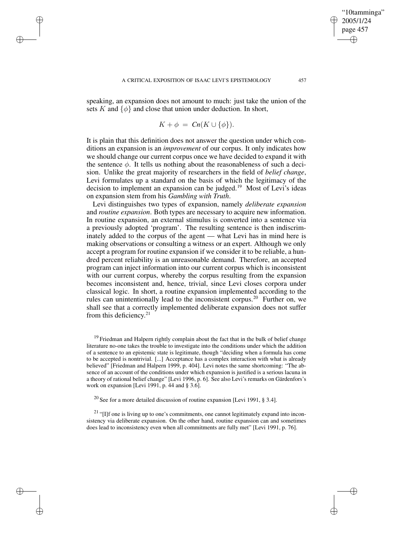✐

✐

✐

speaking, an expansion does not amount to much: just take the union of the sets K and  $\{\phi\}$  and close that union under deduction. In short,

$$
K + \phi = Cn(K \cup \{\phi\}).
$$

It is plain that this definition does not answer the question under which conditions an expansion is an *improvement* of our corpus. It only indicates how we should change our current corpus once we have decided to expand it with the sentence  $\phi$ . It tells us nothing about the reasonableness of such a decision. Unlike the great majority of researchers in the field of *belief change*, Levi formulates up a standard on the basis of which the legitimacy of the decision to implement an expansion can be judged.<sup>19</sup> Most of Levi's ideas on expansion stem from his *Gambling with Truth*.

Levi distinguishes two types of expansion, namely *deliberate expansion* and *routine expansion*. Both types are necessary to acquire new information. In routine expansion, an external stimulus is converted into a sentence via a previously adopted 'program'. The resulting sentence is then indiscriminately added to the corpus of the agent — what Levi has in mind here is making observations or consulting a witness or an expert. Although we only accept a program for routine expansion if we consider it to be reliable, a hundred percent reliability is an unreasonable demand. Therefore, an accepted program can inject information into our current corpus which is inconsistent with our current corpus, whereby the corpus resulting from the expansion becomes inconsistent and, hence, trivial, since Levi closes corpora under classical logic. In short, a routine expansion implemented according to the rules can unintentionally lead to the inconsistent corpus.<sup>20</sup> Further on, we shall see that a correctly implemented deliberate expansion does not suffer from this deficiency.<sup>21</sup>

<sup>19</sup> Friedman and Halpern rightly complain about the fact that in the bulk of belief change literature no-one takes the trouble to investigate into the conditions under which the addition of a sentence to an epistemic state is legitimate, though "deciding when a formula has come to be accepted is nontrivial. [...] Acceptance has a complex interaction with what is already believed" [Friedman and Halpern 1999, p. 404]. Levi notes the same shortcoming: "The absence of an account of the conditions under which expansion is justified is a serious lacuna in a theory of rational belief change" [Levi 1996, p. 6]. See also Levi's remarks on Gärdenfors's work on expansion [Levi 1991, p. 44 and § 3.6].

<sup>20</sup> See for a more detailed discussion of routine expansion [Levi 1991, § 3.4].

<sup>21</sup> "[I]f one is living up to one's commitments, one cannot legitimately expand into inconsistency via deliberate expansion. On the other hand, routine expansion can and sometimes does lead to inconsistency even when all commitments are fully met" [Levi 1991, p. 76].

"10tamminga" 2005/1/24 page 457

✐

✐

✐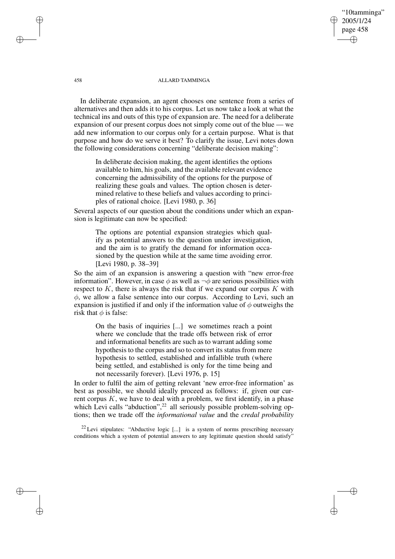# "10tamminga" 2005/1/24 page 458 ✐ ✐

✐

✐

### 458 ALLARD TAMMINGA

In deliberate expansion, an agent chooses one sentence from a series of alternatives and then adds it to his corpus. Let us now take a look at what the technical ins and outs of this type of expansion are. The need for a deliberate expansion of our present corpus does not simply come out of the blue — we add new information to our corpus only for a certain purpose. What is that purpose and how do we serve it best? To clarify the issue, Levi notes down the following considerations concerning "deliberate decision making":

In deliberate decision making, the agent identifies the options available to him, his goals, and the available relevant evidence concerning the admissibility of the options for the purpose of realizing these goals and values. The option chosen is determined relative to these beliefs and values according to principles of rational choice. [Levi 1980, p. 36]

Several aspects of our question about the conditions under which an expansion is legitimate can now be specified:

The options are potential expansion strategies which qualify as potential answers to the question under investigation, and the aim is to gratify the demand for information occasioned by the question while at the same time avoiding error. [Levi 1980, p. 38–39]

So the aim of an expansion is answering a question with "new error-free information". However, in case  $\phi$  as well as  $\neg \phi$  are serious possibilities with respect to  $K$ , there is always the risk that if we expand our corpus  $K$  with  $\phi$ , we allow a false sentence into our corpus. According to Levi, such an expansion is justified if and only if the information value of  $\phi$  outweighs the risk that  $\phi$  is false:

On the basis of inquiries [...] we sometimes reach a point where we conclude that the trade offs between risk of error and informational benefits are such as to warrant adding some hypothesis to the corpus and so to convert its status from mere hypothesis to settled, established and infallible truth (where being settled, and established is only for the time being and not necessarily forever). [Levi 1976, p. 15]

In order to fulfil the aim of getting relevant 'new error-free information' as best as possible, we should ideally proceed as follows: if, given our current corpus  $K$ , we have to deal with a problem, we first identify, in a phase which Levi calls "abduction",<sup>22</sup> all seriously possible problem-solving options; then we trade off the *informational value* and the *credal probability*

<sup>22</sup> Levi stipulates: "Abductive logic [...] is a system of norms prescribing necessary conditions which a system of potential answers to any legitimate question should satisfy"

✐

✐

✐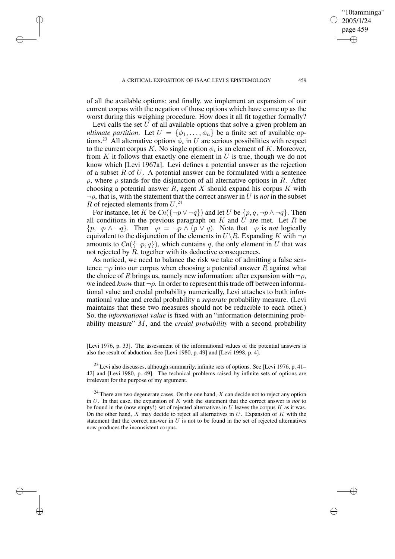✐

✐

✐

of all the available options; and finally, we implement an expansion of our current corpus with the negation of those options which have come up as the worst during this weighing procedure. How does it all fit together formally?

Levi calls the set  $U$  of all available options that solve a given problem an *ultimate partition.* Let  $U = {\phi_1, \ldots, \phi_n}$  be a finite set of available options.<sup>23</sup> All alternative options  $\phi_i$  in U are serious possibilities with respect to the current corpus K. No single option  $\phi_i$  is an element of K. Moreover, from  $K$  it follows that exactly one element in  $U$  is true, though we do not know which [Levi 1967a]. Levi defines a potential answer as the rejection of a subset  $R$  of  $U$ . A potential answer can be formulated with a sentence ρ, where ρ stands for the disjunction of all alternative options in R. After choosing a potential answer  $R$ , agent  $X$  should expand his corpus  $K$  with  $\neg \rho$ , that is, with the statement that the correct answer in U is *not* in the subset  $\overline{R}$  of rejected elements from  $U$ .<sup>24</sup>

For instance, let K be  $Cn({\neg p \lor \neg q})$  and let U be  $\{p, q, \neg p \land \neg q\}$ . Then all conditions in the previous paragraph on  $K$  and  $\overline{U}$  are met. Let  $R$  be  $\{p, \neg p \wedge \neg q\}$ . Then  $\neg \rho = \neg p \wedge (p \vee q)$ . Note that  $\neg \rho$  is *not* logically equivalent to the disjunction of the elements in  $U\backslash R$ . Expanding K with  $\neg \rho$ amounts to  $C_n(\{\neg p, q\})$ , which contains q, the only element in U that was not rejected by R, together with its deductive consequences.

As noticed, we need to balance the risk we take of admitting a false sentence  $\neg \rho$  into our corpus when choosing a potential answer R against what the choice of R brings us, namely new information: after expansion with  $\neg \rho$ , we indeed *know* that  $\neg \rho$ . In order to represent this trade off between informational value and credal probability numerically, Levi attaches to both informational value and credal probability a *separate* probability measure. (Levi maintains that these two measures should not be reducible to each other.) So, the *informational value* is fixed with an "information-determining probability measure" M, and the *credal probability* with a second probability

[Levi 1976, p. 33]. The assessment of the informational values of the potential answers is also the result of abduction. See [Levi 1980, p. 49] and [Levi 1998, p. 4].

 $^{23}$  Levi also discusses, although summarily, infinite sets of options. See [Levi 1976, p. 41– 42] and [Levi 1980, p. 49]. The technical problems raised by infinite sets of options are irrelevant for the purpose of my argument.

 $24$  There are two degenerate cases. On the one hand, X can decide not to reject any option in U. In that case, the expansion of K with the statement that the correct answer is *not* to be found in the (now empty!) set of rejected alternatives in  $U$  leaves the corpus  $K$  as it was. On the other hand,  $X$  may decide to reject all alternatives in  $U$ . Expansion of  $K$  with the statement that the correct answer in  $U$  is not to be found in the set of rejected alternatives now produces the inconsistent corpus.

"10tamminga" 2005/1/24 page 459

✐

✐

✐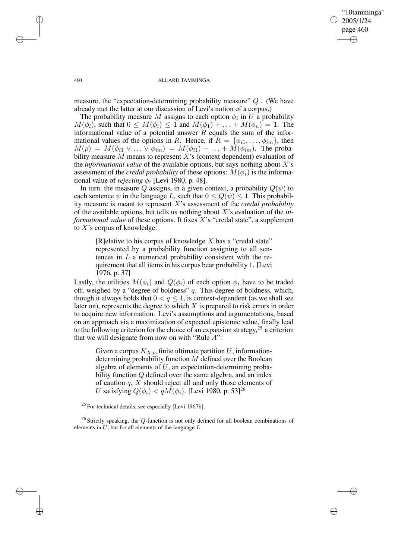✐

### 460 ALLARD TAMMINGA

measure, the "expectation-determining probability measure" Q . (We have already met the latter at our discussion of Levi's notion of a corpus.)

The probability measure M assigns to each option  $\phi_i$  in U a probability  $M(\phi_i)$ , such that  $0 \leq M(\phi_i) \leq 1$  and  $M(\phi_1) + \ldots + M(\phi_n) = 1$ . The informational value of a potential answer  $R$  equals the sum of the informational values of the options in R. Hence, if  $R = \{\phi_{i1}, \dots, \phi_{im}\}\$ , then  $M(\rho) = M(\phi_{i1} \vee \ldots \vee \phi_{im}) = M(\phi_{i1}) + \ldots + M(\phi_{im}).$  The probability measure  $M$  means to represent  $X$ 's (context dependent) evaluation of the *informational value* of the available options, but says nothing about X's assessment of the *credal probability* of these options:  $M(\phi_i)$  is the informational value of *rejecting*  $\phi_i$  [Levi 1980, p. 48].

In turn, the measure Q assigns, in a given context, a probability  $Q(\psi)$  to each sentence  $\psi$  in the language L, such that  $0 \le Q(\psi) \le 1$ . This probability measure is meant to represent X's assessment of the *credal probability* of the available options, but tells us nothing about X's evaluation of the *informational value* of these options. It fixes X's "credal state", a supplement to  $X$ 's corpus of knowledge:

[R]elative to his corpus of knowledge  $X$  has a "credal state" represented by a probability function assigning to all sentences in  $L$  a numerical probability consistent with the requirement that all items in his corpus bear probability 1. [Levi 1976, p. 37]

Lastly, the utilities  $M(\phi_i)$  and  $Q(\phi_i)$  of each option  $\phi_i$  have to be traded off, weighed by a "degree of boldness"  $q$ . This degree of boldness, which, though it always holds that  $0 < q \leq 1$ , is context-dependent (as we shall see later on), represents the degree to which  $X$  is prepared to risk errors in order to acquire new information. Levi's assumptions and argumentations, based on an approach via a maximization of expected epistemic value, finally lead to the following criterion for the choice of an expansion strategy, <sup>25</sup> a criterion that we will designate from now on with "Rule  $A$ ":

Given a corpus  $K_{X,t}$ , finite ultimate partition U, informationdetermining probability function M defined over the Boolean algebra of elements of  $U$ , an expectation-determining probability function Q defined over the same algebra, and an index of caution  $q$ ,  $X$  should reject all and only those elements of U satisfying  $Q(\phi_i) < qM(\phi_i)$ . [Levi 1980, p. 53]<sup>26</sup>

<sup>25</sup> For technical details, see especially [Levi 1967b].

 $^{26}$  Strictly speaking, the Q-function is not only defined for all boolean combinations of elements in  $U$ , but for all elements of the language  $L$ .

✐

✐

✐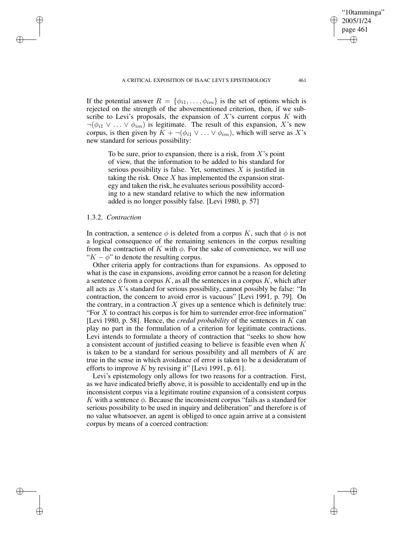If the potential answer  $R = \{\phi_{i1}, \dots, \phi_{im}\}\$ is the set of options which is rejected on the strength of the abovementioned criterion, then, if we subscribe to Levi's proposals, the expansion of  $X$ 's current corpus  $K$  with  $\neg(\phi_{i1} \lor ... \lor \phi_{im})$  is legitimate. The result of this expansion, X's new corpus, is then given by  $K + \neg(\phi_{i1} \vee \dots \vee \phi_{im})$ , which will serve as X's new standard for serious possibility:

To be sure, prior to expansion, there is a risk, from  $X$ 's point of view, that the information to be added to his standard for serious possibility is false. Yet, sometimes  $X$  is justified in taking the risk. Once  $X$  has implemented the expansion strategy and taken the risk, he evaluates serious possibility according to a new standard relative to which the new information added is no longer possibly false. [Levi 1980, p. 57]

## 1.3.2. *Contraction*

✐

✐

✐

✐

In contraction, a sentence  $\phi$  is deleted from a corpus K, such that  $\phi$  is not a logical consequence of the remaining sentences in the corpus resulting from the contraction of K with  $\phi$ . For the sake of convenience, we will use " $K - \phi$ " to denote the resulting corpus.

Other criteria apply for contractions than for expansions. As opposed to what is the case in expansions, avoiding error cannot be a reason for deleting a sentence  $\phi$  from a corpus K, as all the sentences in a corpus K, which after all acts as  $X$ 's standard for serious possibility, cannot possibly be false: "In contraction, the concern to avoid error is vacuous" [Levi 1991, p. 79]. On the contrary, in a contraction  $X$  gives up a sentence which is definitely true: "For X to contract his corpus is for him to surrender error-free information" [Levi 1980, p. 58]. Hence, the *credal probability* of the sentences in K can play no part in the formulation of a criterion for legitimate contractions. Levi intends to formulate a theory of contraction that "seeks to show how a consistent account of justified ceasing to believe is feasible even when K is taken to be a standard for serious possibility and all members of  $K$  are true in the sense in which avoidance of error is taken to be a desideratum of efforts to improve K by revising it" [Levi 1991, p. 61].

Levi's epistemology only allows for two reasons for a contraction. First, as we have indicated briefly above, it is possible to accidentally end up in the inconsistent corpus via a legitimate routine expansion of a consistent corpus K with a sentence  $\phi$ . Because the inconsistent corpus "fails as a standard for serious possibility to be used in inquiry and deliberation" and therefore is of no value whatsoever, an agent is obliged to once again arrive at a consistent corpus by means of a coerced contraction:

"10tamminga" 2005/1/24 page 461

✐

✐

✐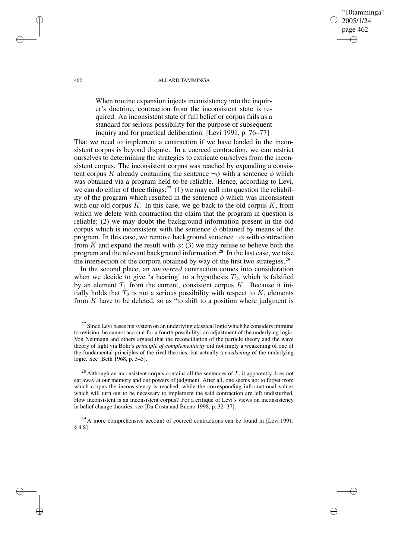462 ALLARD TAMMINGA

"10tamminga" 2005/1/24 page 462

✐

✐

✐

✐

When routine expansion injects inconsistency into the inquirer's doctrine, contraction from the inconsistent state is required. An inconsistent state of full belief or corpus fails as a standard for serious possibility for the purpose of subsequent inquiry and for practical deliberation. [Levi 1991, p. 76–77]

That we need to implement a contraction if we have landed in the inconsistent corpus is beyond dispute. In a coerced contraction, we can restrict ourselves to determining the strategies to extricate ourselves from the inconsistent corpus. The inconsistent corpus was reached by expanding a consistent corpus K already containing the sentence  $\neg \phi$  with a sentence  $\phi$  which was obtained via a program held to be reliable. Hence, according to Levi, we can do either of three things:<sup>27</sup> (1) we may call into question the reliability of the program which resulted in the sentence  $\phi$  which was inconsistent with our old corpus  $K$ . In this case, we go back to the old corpus  $K$ , from which we delete with contraction the claim that the program in question is reliable; (2) we may doubt the background information present in the old corpus which is inconsistent with the sentence  $\phi$  obtained by means of the program. In this case, we remove background sentence  $\neg \phi$  with contraction from K and expand the result with  $\phi$ ; (3) we may refuse to believe both the program and the relevant background information.<sup>28</sup> In the last case, we take the intersection of the corpora obtained by way of the first two strategies.<sup>29</sup>

In the second place, an *uncoerced* contraction comes into consideration when we decide to give 'a hearing' to a hypothesis  $T_2$ , which is falsified by an element  $T_1$  from the current, consistent corpus  $K$ . Because it initially holds that  $T_2$  is not a serious possibility with respect to  $K$ , elements from  $K$  have to be deleted, so as "to shift to a position where judgment is

 $^{28}$  Although an inconsistent corpus contains all the sentences of  $L$ , it apparently does not eat away at our memory and our powers of judgment. After all, one seems not to forget from which corpus the inconsistency is reached, while the corresponding informational values which will turn out to be necessary to implement the said contraction are left undisturbed. How inconsistent is an inconsistent corpus? For a critique of Levi's views on inconsistency in belief change theories, see [Da Costa and Bueno 1998, p. 32–37].

 $^{29}$  A more comprehensive account of coerced contractions can be found in [Levi 1991, § 4.8].

✐

✐

✐

 $27$  Since Levi bases his system on an underlying classical logic which he considers immune to revision, he cannot account for a fourth possibility: an adjustment of the underlying logic. Von Neumann and others argued that the reconciliation of the particle theory and the wave theory of light via Bohr's *principle of complementarity* did not imply a weakening of one of the fundamental principles of the rival theories, but actually a *weakening* of the underlying logic. See [Beth 1968, p. 3–5].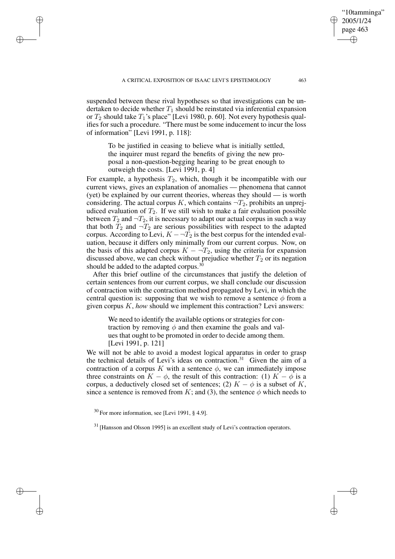$\rightarrow$ 

 $\rightarrow$ 

✐

✐

suspended between these rival hypotheses so that investigations can be undertaken to decide whether  $T_1$  should be reinstated via inferential expansion or  $T_2$  should take  $T_1$ 's place" [Levi 1980, p. 60]. Not every hypothesis qualifies for such a procedure. "There must be some inducement to incur the loss of information" [Levi 1991, p. 118]:

To be justified in ceasing to believe what is initially settled, the inquirer must regard the benefits of giving the new proposal a non-question-begging hearing to be great enough to outweigh the costs. [Levi 1991, p. 4]

For example, a hypothesis  $T_2$ , which, though it be incompatible with our current views, gives an explanation of anomalies — phenomena that cannot (yet) be explained by our current theories, whereas they should — is worth considering. The actual corpus K, which contains  $\neg T_2$ , prohibits an unprejudiced evaluation of  $T_2$ . If we still wish to make a fair evaluation possible between  $T_2$  and  $\neg T_2$ , it is necessary to adapt our actual corpus in such a way that both  $T_2$  and  $T_2$  are serious possibilities with respect to the adapted corpus. According to Levi,  $K - \neg T_2$  is the best corpus for the intended evaluation, because it differs only minimally from our current corpus. Now, on the basis of this adapted corpus  $K - T_2$ , using the criteria for expansion discussed above, we can check without prejudice whether  $T_2$  or its negation should be added to the adapted corpus.<sup>30</sup>

After this brief outline of the circumstances that justify the deletion of certain sentences from our current corpus, we shall conclude our discussion of contraction with the contraction method propagated by Levi, in which the central question is: supposing that we wish to remove a sentence  $\phi$  from a given corpus K, *how* should we implement this contraction? Levi answers:

We need to identify the available options or strategies for contraction by removing  $\phi$  and then examine the goals and values that ought to be promoted in order to decide among them. [Levi 1991, p. 121]

We will not be able to avoid a modest logical apparatus in order to grasp the technical details of Levi's ideas on contraction.<sup>31</sup> Given the aim of a contraction of a corpus K with a sentence  $\phi$ , we can immediately impose three constraints on  $K - \phi$ , the result of this contraction: (1)  $K - \phi$  is a corpus, a deductively closed set of sentences; (2)  $K - \phi$  is a subset of K, since a sentence is removed from K; and (3), the sentence  $\phi$  which needs to

<sup>30</sup> For more information, see [Levi 1991, § 4.9].

 $31$  [Hansson and Olsson 1995] is an excellent study of Levi's contraction operators.

"10tamminga" 2005/1/24 page 463

✐

✐

✐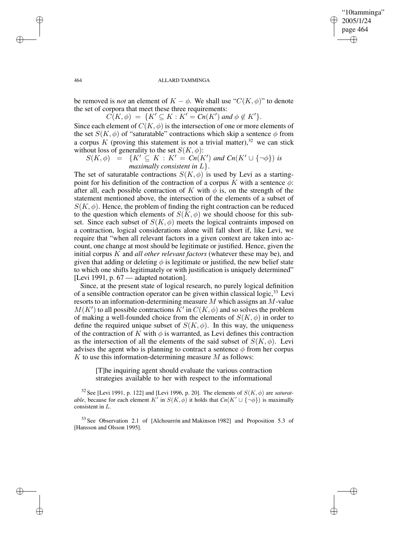✐

### 464 ALLARD TAMMINGA

be removed is *not* an element of  $K - \phi$ . We shall use " $C(K, \phi)$ " to denote the set of corpora that meet these three requirements:

 $C(K, \phi) = \{K' \subseteq K : K' = Cn(K') \text{ and } \phi \notin K'\}.$ 

Since each element of  $C(K, \phi)$  is the intersection of one or more elements of the set  $S(K, \phi)$  of "saturatable" contractions which skip a sentence  $\phi$  from a corpus K (proving this statement is not a trivial matter),  $32$  we can stick without loss of generality to the set  $S(K, \phi)$ :

 $S(K, \phi) = \{K' \subseteq K : K' = Cn(K') \text{ and } Cn(K' \cup {\neg \phi}\}) \text{ is}$ *maximally consistent in* L}.

The set of saturatable contractions  $S(K, \phi)$  is used by Levi as a startingpoint for his definition of the contraction of a corpus K with a sentence  $\phi$ : after all, each possible contraction of K with  $\phi$  is, on the strength of the statement mentioned above, the intersection of the elements of a subset of  $S(K, \phi)$ . Hence, the problem of finding the right contraction can be reduced to the question which elements of  $S(K, \phi)$  we should choose for this subset. Since each subset of  $S(K, \phi)$  meets the logical contraints imposed on a contraction, logical considerations alone will fall short if, like Levi, we require that "when all relevant factors in a given context are taken into account, one change at most should be legitimate or justified. Hence, given the initial corpus K and *all other relevant factors* (whatever these may be), and given that adding or deleting  $\phi$  is legitimate or justified, the new belief state to which one shifts legitimately or with justification is uniquely determined" [Levi 1991, p. 67 — adapted notation].

Since, at the present state of logical research, no purely logical definition of a sensible contraction operator can be given within classical logic,  $33$  Levi resorts to an information-determining measure M which assigns an M-value  $M(K')$  to all possible contractions  $K'$  in  $C(K, \phi)$  and so solves the problem of making a well-founded choice from the elements of  $S(K, \phi)$  in order to define the required unique subset of  $S(K, \phi)$ . In this way, the uniqueness of the contraction of K with  $\phi$  is warranted, as Levi defines this contraction as the intersection of all the elements of the said subset of  $S(K, \phi)$ . Levi advises the agent who is planning to contract a sentence  $\phi$  from her corpus  $K$  to use this information-determining measure  $M$  as follows:

[T]he inquiring agent should evaluate the various contraction strategies available to her with respect to the informational

<sup>32</sup> See [Levi 1991, p. 122] and [Levi 1996, p. 20]. The elements of  $S(K, \phi)$  are *saturatable*, because for each element  $K'$  in  $S(K, \phi)$  it holds that  $Cn(K' \cup {\neg \phi})$  is maximally consistent in L.

<sup>33</sup> See Observation 2.1 of [Alchourrón and Makinson 1982] and Proposition 5.3 of [Hansson and Olsson 1995].

 $\rightarrow$ 

 $\rightarrow$ 

✐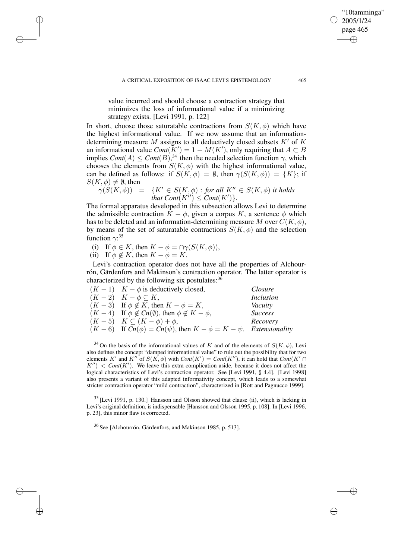value incurred and should choose a contraction strategy that minimizes the loss of informational value if a minimizing strategy exists. [Levi 1991, p. 122]

In short, choose those saturatable contractions from  $S(K, \phi)$  which have the highest informational value. If we now assume that an informationdetermining measure M assigns to all deductively closed subsets  $K'$  of K an informational value  $Cont(K') = 1 - M(K')$ , only requiring that  $A \subset B$ implies  $Cont(A) \leq Cont(B)$ ,<sup>34</sup> then the needed selection function  $\gamma$ , which chooses the elements from  $S(K, \phi)$  with the highest informational value, can be defined as follows: if  $S(K, \phi) = \emptyset$ , then  $\gamma(S(K, \phi)) = \{K\}$ ; if  $S(K, \phi) \neq \emptyset$ , then

$$
\gamma(S(K,\phi)) = \{K' \in S(K,\phi) : \text{for all } K'' \in S(K,\phi) \text{ it holds} \}
$$
  
that  $Cont(K'') \leq Cont(K') \}.$ 

The formal apparatus developed in this subsection allows Levi to determine the admissible contraction  $\overline{K} - \phi$ , given a corpus K, a sentence  $\phi$  which has to be deleted and an information-determining measure M over  $C(K, \phi)$ , by means of the set of saturatable contractions  $S(K, \phi)$  and the selection function  $\gamma$ :<sup>35</sup>

(i) If  $\phi \in K$ , then  $K - \phi = \bigcap \gamma(S(K, \phi)),$ 

(ii) If  $\phi \notin K$ , then  $K - \phi = K$ .

 $\rightarrow$ 

 $\rightarrow$ 

✐

✐

Levi's contraction operator does not have all the properties of Alchourrón, Gärdenfors and Makinson's contraction operator. The latter operator is characterized by the following six postulates:  $36$ 

| $(K-1)$ $K-\phi$ is deductively closed,                                        | Closure          |
|--------------------------------------------------------------------------------|------------------|
| $(K-2)$ $K-\phi\subseteq K$ ,                                                  | <i>Inclusion</i> |
| $(K-3)$ If $\phi \notin K$ , then $K - \phi = K$ ,                             | Vacuity          |
| $(K-4)$ If $\phi \notin Cn(\emptyset)$ , then $\phi \notin K - \phi$ ,         | <i>Success</i>   |
| $(K-5)$ $K \subseteq (K-\phi)+\phi$ ,                                          | Recovery         |
| $(K-6)$ If $Cn(\phi) = Cn(\psi)$ , then $K - \phi = K - \psi$ . Extensionality |                  |

<sup>34</sup> On the basis of the informational values of K and of the elements of  $S(K, \phi)$ , Levi also defines the concept "damped informational value" to rule out the possibility that for two elements K' and K'' of  $S(K, \phi)$  with  $Cont(K') = Cont(K'')$ , it can hold that  $Cont(K' \cap$  $K''$ ) < *Cont*( $K'$ ). We leave this extra complication aside, because it does not affect the logical characteristics of Levi's contraction operator. See [Levi 1991, § 4.4]. [Levi 1998] also presents a variant of this adapted informativity concept, which leads to a somewhat stricter contraction operator "mild contraction", characterized in [Rott and Pagnucco 1999].

<sup>35</sup> [Levi 1991, p. 130.] Hansson and Olsson showed that clause (ii), which is lacking in Levi's original definition, isindispensable [Hansson and Olsson 1995, p. 108]. In [Levi 1996, p. 23], this minor flaw is corrected.

<sup>36</sup> See [Alchourrón, Gärdenfors, and Makinson 1985, p. 513].

"10tamminga" 2005/1/24 page 465

✐

✐

✐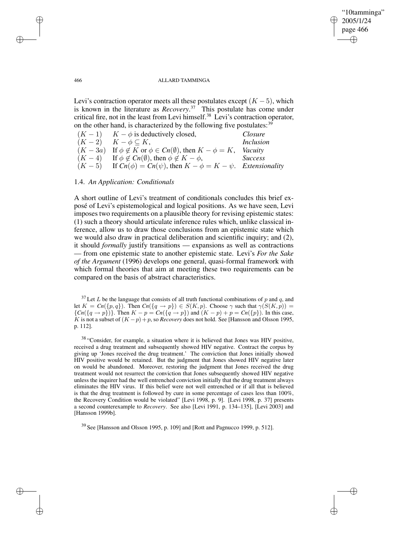✐

### 466 ALLARD TAMMINGA

Levi's contraction operator meets all these postulates except  $(K - 5)$ , which is known in the literature as *Recovery*. <sup>37</sup> This postulate has come under critical fire, not in the least from Levi himself.<sup>38</sup> Levi's contraction operator, on the other hand, is characterized by the following five postulates:<sup>39</sup>

|         | $(K-1)$ $K-\phi$ is deductively closed,                                                 | Closure        |
|---------|-----------------------------------------------------------------------------------------|----------------|
| $(K-2)$ | $K-\phi\subseteq K$ ,                                                                   | Inclusion      |
|         | $(K-3a)$ If $\phi \notin K$ or $\phi \in Cn(\emptyset)$ , then $K - \phi = K$ , Vacuity |                |
|         | $(K-4)$ If $\phi \notin Cn(\emptyset)$ , then $\phi \notin K - \phi$ ,                  | <i>Success</i> |
| $(K-5)$ | If $Cn(\phi) = Cn(\psi)$ , then $K - \phi = K - \psi$ . Extensionality                  |                |

### 1.4. *An Application: Conditionals*

A short outline of Levi's treatment of conditionals concludes this brief exposé of Levi's epistemological and logical positions. As we have seen, Levi imposes two requirements on a plausible theory for revising epistemic states: (1) such a theory should articulate inference rules which, unlike classical inference, allow us to draw those conclusions from an epistemic state which we would also draw in practical deliberation and scientific inquiry; and (2), it should *formally* justify transitions — expansions as well as contractions — from one epistemic state to another epistemic state. Levi's *For the Sake of the Argument* (1996) develops one general, quasi-formal framework with which formal theories that aim at meeting these two requirements can be compared on the basis of abstract characteristics.

 $37$  Let L be the language that consists of all truth functional combinations of p and q, and let  $K = Cn({p, q})$ . Then  $Cn({q \to p}) \in S(K, p)$ . Choose  $\gamma$  such that  $\gamma(S(K, p)) =$  ${Cn({q \rightarrow p})}.$  Then  $K - p = Cn({q \rightarrow p})$  and  $(K - p) + p = Cn({p}).$  In this case, K is not a subset of  $(K - p) + p$ , so *Recovery* does not hold. See [Hansson and Olsson 1995, p. 112].

<sup>38</sup> "Consider, for example, a situation where it is believed that Jones was HIV positive, received a drug treatment and subsequently showed HIV negative. Contract the corpus by giving up 'Jones received the drug treatment.' The conviction that Jones initially showed HIV positive would be retained. But the judgment that Jones showed HIV negative later on would be abandoned. Moreover, restoring the judgment that Jones received the drug treatment would not resurrect the conviction that Jones subsequently showed HIV negative unless the inquirer had the well entrenched conviction initially that the drug treatment always eliminates the HIV virus. If this belief were not well entrenched or if all that is believed is that the drug treatment is followed by cure in some percentage of cases less than 100%, the Recovery Condition would be violated" [Levi 1998, p. 9]. [Levi 1998, p. 37] presents a second counterexample to *Recovery*. See also [Levi 1991, p. 134–135], [Levi 2003] and [Hansson 1999b].

<sup>39</sup> See [Hansson and Olsson 1995, p. 109] and [Rott and Pagnucco 1999, p. 512].

 $\rightarrow$ 

 $\rightarrow$ 

✐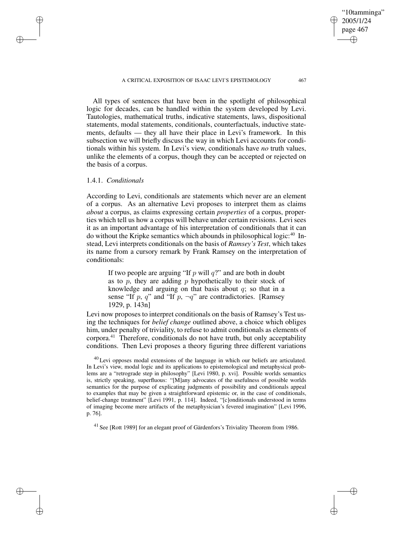A CRITICAL EXPOSITION OF ISAAC LEVI'S EPISTEMOLOGY 467

"10tamminga" 2005/1/24 page 467 ✐ ✐

✐

✐

All types of sentences that have been in the spotlight of philosophical logic for decades, can be handled within the system developed by Levi. Tautologies, mathematical truths, indicative statements, laws, dispositional statements, modal statements, conditionals, counterfactuals, inductive statements, defaults — they all have their place in Levi's framework. In this subsection we will briefly discuss the way in which Levi accounts for conditionals within his system. In Levi's view, conditionals have *no* truth values, unlike the elements of a corpus, though they can be accepted or rejected on the basis of a corpus.

## 1.4.1. *Conditionals*

 $\rightarrow$ 

 $\rightarrow$ 

✐

✐

According to Levi, conditionals are statements which never are an element of a corpus. As an alternative Levi proposes to interpret them as claims *about* a corpus, as claims expressing certain *properties* of a corpus, properties which tell us how a corpus will behave under certain revisions. Levi sees it as an important advantage of his interpretation of conditionals that it can do without the Kripke semantics which abounds in philosophical logic:<sup>40</sup> Instead, Levi interprets conditionals on the basis of *Ramsey's Test*, which takes its name from a cursory remark by Frank Ramsey on the interpretation of conditionals:

If two people are arguing "If  $p$  will  $q$ ?" and are both in doubt as to  $p$ , they are adding  $p$  hypothetically to their stock of knowledge and arguing on that basis about  $q$ ; so that in a sense "If p, q" and "If p,  $\neg q$ " are contradictories. [Ramsey 1929, p. 143n]

Levi now proposes to interpret conditionals on the basis of Ramsey's Test using the techniques for *belief change* outlined above, a choice which obliges him, under penalty of triviality, to refuse to admit conditionals as elements of corpora.<sup>41</sup> Therefore, conditionals do not have truth, but only acceptability conditions. Then Levi proposes a theory figuring three different variations

 $^{40}$  Levi opposes modal extensions of the language in which our beliefs are articulated. In Levi's view, modal logic and its applications to epistemological and metaphysical problems are a "retrograde step in philosophy" [Levi 1980, p. xvi]. Possible worlds semantics is, strictly speaking, superfluous: "[M]any advocates of the usefulness of possible worlds semantics for the purpose of explicating judgments of possibility and conditionals appeal to examples that may be given a straightforward epistemic or, in the case of conditionals, belief-change treatment" [Levi 1991, p. 114]. Indeed, "[c]onditionals understood in terms of imaging become mere artifacts of the metaphysician's fevered imagination" [Levi 1996, p. 76].

<sup>41</sup> See [Rott 1989] for an elegant proof of Gärdenfors's Triviality Theorem from 1986.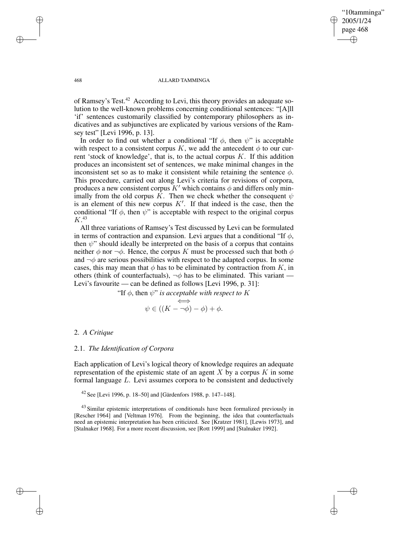"10tamminga" 2005/1/24 page 468 ✐ ✐

✐

✐

### 468 ALLARD TAMMINGA

of Ramsey's Test.<sup>42</sup> According to Levi, this theory provides an adequate solution to the well-known problems concerning conditional sentences: "[A]ll 'if' sentences customarily classified by contemporary philosophers as indicatives and as subjunctives are explicated by various versions of the Ramsey test" [Levi 1996, p. 13].

In order to find out whether a conditional "If  $\phi$ , then  $\psi$ " is acceptable with respect to a consistent corpus K, we add the antecedent  $\phi$  to our current 'stock of knowledge', that is, to the actual corpus  $K$ . If this addition produces an inconsistent set of sentences, we make minimal changes in the inconsistent set so as to make it consistent while retaining the sentence  $\phi$ . This procedure, carried out along Levi's criteria for revisions of corpora, produces a new consistent corpus K' which contains  $\phi$  and differs only minimally from the old corpus K. Then we check whether the consequent  $\psi$ is an element of this new corpus  $K'$ . If that indeed is the case, then the conditional "If  $\phi$ , then  $\psi$ " is acceptable with respect to the original corpus  $K^{43}$ 

All three variations of Ramsey's Test discussed by Levi can be formulated in terms of contraction and expansion. Levi argues that a conditional "If  $\phi$ , then  $\psi$ " should ideally be interpreted on the basis of a corpus that contains neither  $\phi$  nor  $\neg \phi$ . Hence, the corpus K must be processed such that both  $\phi$ and  $\neg \phi$  are serious possibilities with respect to the adapted corpus. In some cases, this may mean that  $\phi$  has to be eliminated by contraction from K, in others (think of counterfactuals),  $\neg \phi$  has to be eliminated. This variant — Levi's favourite — can be defined as follows [Levi 1996, p. 31]:

"If  $\phi$ , then  $\psi$ " *is acceptable with respect to* K

$$
\qquad \qquad \overleftarrow{\psi \in ((K - \neg \phi) - \phi) + \phi}.
$$

### 2. *A Critique*

# 2.1. *The Identification of Corpora*

Each application of Levi's logical theory of knowledge requires an adequate representation of the epistemic state of an agent X by a corpus  $K$  in some formal language L. Levi assumes corpora to be consistent and deductively

 $42$  See [Levi 1996, p. 18–50] and [Gärdenfors 1988, p. 147–148].

<sup>43</sup> Similar epistemic interpretations of conditionals have been formalized previously in [Rescher 1964] and [Veltman 1976]. From the beginning, the idea that counterfactuals need an epistemic interpretation has been criticized. See [Kratzer 1981], [Lewis 1973], and [Stalnaker 1968]. For a more recent discussion, see [Rott 1999] and [Stalnaker 1992].

 $\rightarrow$ 

 $\rightarrow$ 

✐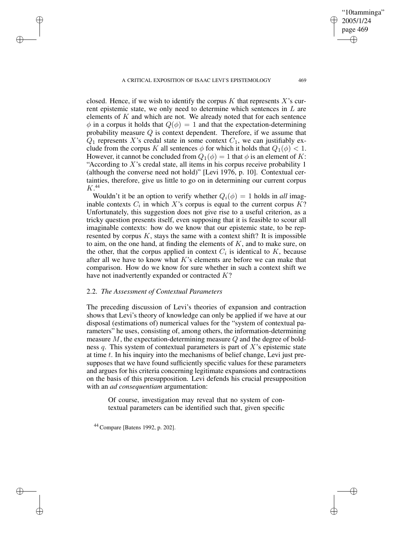A CRITICAL EXPOSITION OF ISAAC LEVI'S EPISTEMOLOGY 469

closed. Hence, if we wish to identify the corpus K that represents  $X$ 's current epistemic state, we only need to determine which sentences in L are elements of  $K$  and which are not. We already noted that for each sentence  $\phi$  in a corpus it holds that  $Q(\phi) = 1$  and that the expectation-determining probability measure  $Q$  is context dependent. Therefore, if we assume that  $Q_1$  represents X's credal state in some context  $C_1$ , we can justifiably exclude from the corpus K all sentences  $\phi$  for which it holds that  $Q_1(\phi) < 1$ . However, it cannot be concluded from  $Q_1(\phi) = 1$  that  $\phi$  is an element of K: "According to  $X$ 's credal state, all items in his corpus receive probability 1 (although the converse need not hold)" [Levi 1976, p. 10]. Contextual certainties, therefore, give us little to go on in determining our current corpus  $K<sup>44</sup>$ 

Wouldn't it be an option to verify whether  $Q_i(\phi) = 1$  holds in *all* imaginable contexts  $C_i$  in which X's corpus is equal to the current corpus  $K$ ? Unfortunately, this suggestion does not give rise to a useful criterion, as a tricky question presents itself, even supposing that it is feasible to scour all imaginable contexts: how do we know that our epistemic state, to be represented by corpus  $K$ , stays the same with a context shift? It is impossible to aim, on the one hand, at finding the elements of  $K$ , and to make sure, on the other, that the corpus applied in context  $C_i$  is identical to  $K$ , because after all we have to know what  $K$ 's elements are before we can make that comparison. How do we know for sure whether in such a context shift we have not inadvertently expanded or contracted K?

## 2.2. *The Assessment of Contextual Parameters*

 $\rightarrow$ 

 $\rightarrow$ 

✐

✐

The preceding discussion of Levi's theories of expansion and contraction shows that Levi's theory of knowledge can only be applied if we have at our disposal (estimations of) numerical values for the "system of contextual parameters" he uses, consisting of, among others, the information-determining measure M, the expectation-determining measure Q and the degree of boldness q. This system of contextual parameters is part of  $X$ 's epistemic state at time t. In his inquiry into the mechanisms of belief change, Levi just presupposes that we have found sufficiently specific values for these parameters and argues for his criteria concerning legitimate expansions and contractions on the basis of this presupposition. Levi defends his crucial presupposition with an *ad consequentiam* argumentation:

Of course, investigation may reveal that no system of contextual parameters can be identified such that, given specific

<sup>44</sup> Compare [Batens 1992, p. 202].

"10tamminga" 2005/1/24 page 469

✐

✐

✐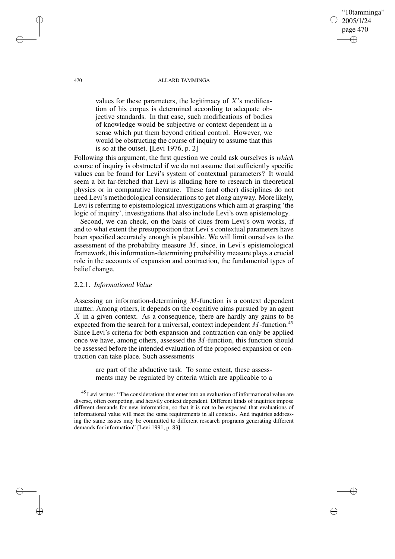### 470 ALLARD TAMMINGA

"10tamminga" 2005/1/24 page 470

✐

✐

✐

✐

values for these parameters, the legitimacy of  $X$ 's modification of his corpus is determined according to adequate objective standards. In that case, such modifications of bodies of knowledge would be subjective or context dependent in a sense which put them beyond critical control. However, we would be obstructing the course of inquiry to assume that this is so at the outset. [Levi 1976, p. 2]

Following this argument, the first question we could ask ourselves is *which* course of inquiry is obstructed if we do not assume that sufficiently specific values can be found for Levi's system of contextual parameters? It would seem a bit far-fetched that Levi is alluding here to research in theoretical physics or in comparative literature. These (and other) disciplines do not need Levi's methodological considerations to get along anyway. More likely, Levi is referring to epistemological investigations which aim at grasping 'the logic of inquiry', investigations that also include Levi's own epistemology.

Second, we can check, on the basis of clues from Levi's own works, if and to what extent the presupposition that Levi's contextual parameters have been specified accurately enough is plausible. We will limit ourselves to the assessment of the probability measure M, since, in Levi's epistemological framework, this information-determining probability measure plays a crucial role in the accounts of expansion and contraction, the fundamental types of belief change.

## 2.2.1. *Informational Value*

Assessing an information-determining M-function is a context dependent matter. Among others, it depends on the cognitive aims pursued by an agent  $X$  in a given context. As a consequence, there are hardly any gains to be expected from the search for a universal, context independent  $M$ -function.<sup>45</sup> Since Levi's criteria for both expansion and contraction can only be applied once we have, among others, assessed the  $M$ -function, this function should be assessed before the intended evaluation of the proposed expansion or contraction can take place. Such assessments

are part of the abductive task. To some extent, these assessments may be regulated by criteria which are applicable to a

<sup>45</sup> Levi writes: "The considerations that enter into an evaluation of informational value are diverse, often competing, and heavily context dependent. Different kinds of inquiries impose different demands for new information, so that it is not to be expected that evaluations of informational value will meet the same requirements in all contexts. And inquiries addressing the same issues may be committed to different research programs generating different demands for information" [Levi 1991, p. 83].

✐

✐

✐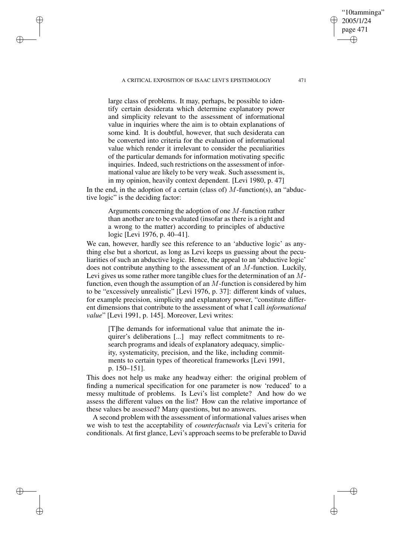### A CRITICAL EXPOSITION OF ISAAC LEVI'S EPISTEMOLOGY 471

✐

✐

✐

✐

large class of problems. It may, perhaps, be possible to identify certain desiderata which determine explanatory power and simplicity relevant to the assessment of informational value in inquiries where the aim is to obtain explanations of some kind. It is doubtful, however, that such desiderata can be converted into criteria for the evaluation of informational value which render it irrelevant to consider the peculiarities of the particular demands for information motivating specific inquiries. Indeed, such restrictions on the assessment of informational value are likely to be very weak. Such assessment is, in my opinion, heavily context dependent. [Levi 1980, p. 47]

In the end, in the adoption of a certain (class of)  $M$ -function(s), an "abductive logic" is the deciding factor:

Arguments concerning the adoption of one M-function rather than another are to be evaluated (insofar as there is a right and a wrong to the matter) according to principles of abductive logic [Levi 1976, p. 40–41].

We can, however, hardly see this reference to an 'abductive logic' as anything else but a shortcut, as long as Levi keeps us guessing about the peculiarities of such an abductive logic. Hence, the appeal to an 'abductive logic' does not contribute anything to the assessment of an M-function. Luckily, Levi gives us some rather more tangible clues for the determination of an Mfunction, even though the assumption of an  $M$ -function is considered by him to be "excessively unrealistic" [Levi 1976, p. 37]: different kinds of values, for example precision, simplicity and explanatory power, "constitute different dimensions that contribute to the assessment of what I call *informational value*" [Levi 1991, p. 145]. Moreover, Levi writes:

[T]he demands for informational value that animate the inquirer's deliberations [...] may reflect commitments to research programs and ideals of explanatory adequacy, simplicity, systematicity, precision, and the like, including commitments to certain types of theoretical frameworks [Levi 1991, p. 150–151].

This does not help us make any headway either: the original problem of finding a numerical specification for one parameter is now 'reduced' to a messy multitude of problems. Is Levi's list complete? And how do we assess the different values on the list? How can the relative importance of these values be assessed? Many questions, but no answers.

A second problem with the assessment of informational values arises when we wish to test the acceptability of *counterfactuals* via Levi's criteria for conditionals. At first glance, Levi's approach seemsto be preferable to David

"10tamminga" 2005/1/24 page 471

✐

✐

✐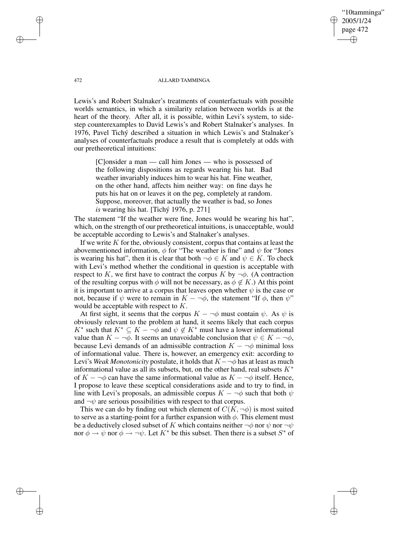"10tamminga" 2005/1/24 page 472 ✐ ✐

✐

✐

### 472 ALLARD TAMMINGA

Lewis's and Robert Stalnaker's treatments of counterfactuals with possible worlds semantics, in which a similarity relation between worlds is at the heart of the theory. After all, it is possible, within Levi's system, to sidestep counterexamples to David Lewis's and Robert Stalnaker's analyses. In 1976, Pavel Tichý described a situation in which Lewis's and Stalnaker's analyses of counterfactuals produce a result that is completely at odds with our pretheoretical intuitions:

[C]onsider a man — call him Jones — who is possessed of the following dispositions as regards wearing his hat. Bad weather invariably induces him to wear his hat. Fine weather, on the other hand, affects him neither way: on fine days he puts his hat on or leaves it on the peg, completely at random. Suppose, moreover, that actually the weather is bad, so Jones *is* wearing his hat. [Tichý 1976, p. 271]

The statement "If the weather were fine, Jones would be wearing his hat", which, on the strength of our pretheoretical intuitions, is unacceptable, would be acceptable according to Lewis's and Stalnaker's analyses.

If we write  $K$  for the, obviously consistent, corpus that contains at least the abovementioned information,  $\phi$  for "The weather is fine" and  $\psi$  for "Jones" is wearing his hat", then it is clear that both  $\neg \phi \in K$  and  $\psi \in K$ . To check with Levi's method whether the conditional in question is acceptable with respect to K, we first have to contract the corpus K by  $\neg \phi$ . (A contraction of the resulting corpus with  $\phi$  will not be necessary, as  $\phi \notin K$ .) At this point it is important to arrive at a corpus that leaves open whether  $\psi$  is the case or not, because if  $\psi$  were to remain in  $K - \neg \phi$ , the statement "If  $\phi$ , then  $\psi$ " would be acceptable with respect to K.

At first sight, it seems that the corpus  $K - \neg \phi$  must contain  $\psi$ . As  $\psi$  is obviously relevant to the problem at hand, it seems likely that each corpus  $K^*$  such that  $K^* \subseteq K - \neg \phi$  and  $\psi \notin K^*$  must have a lower informational value than  $K - \neg \phi$ . It seems an unavoidable conclusion that  $\psi \in K - \neg \phi$ , because Levi demands of an admissible contraction  $K - \neg \phi$  minimal loss of informational value. There is, however, an emergency exit: according to Levi's *Weak Monotonicity* postulate, it holds that K−¬φ has at least as much informational value as all its subsets, but, on the other hand, real subsets  $K^*$ of  $K - \neg \phi$  can have the same informational value as  $K - \neg \phi$  itself. Hence, I propose to leave these sceptical considerations aside and to try to find, in line with Levi's proposals, an admissible corpus  $K - \neg \phi$  such that both  $\psi$ and  $\neg \psi$  are serious possibilities with respect to that corpus.

This we can do by finding out which element of  $C(K, \neg \phi)$  is most suited to serve as a starting-point for a further expansion with  $\phi$ . This element must be a deductively closed subset of K which contains neither  $\neg \phi$  nor  $\psi$  nor  $\neg \psi$ nor  $\phi \to \psi$  nor  $\phi \to \neg \psi$ . Let  $K^*$  be this subset. Then there is a subset  $S^*$  of

✐

✐

✐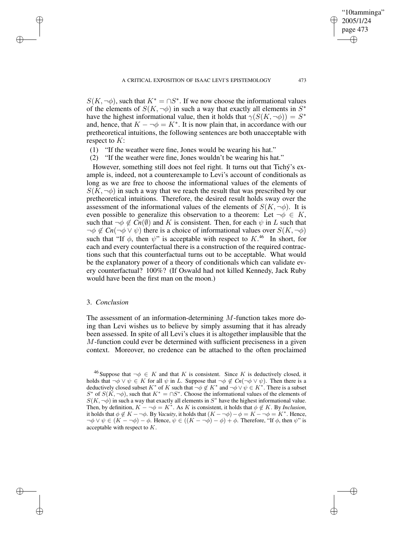$S(K, \neg \phi)$ , such that  $K^* = \bigcap S^*$ . If we now choose the informational values of the elements of  $S(K, \neg \phi)$  in such a way that exactly all elements in  $S^*$ have the highest informational value, then it holds that  $\gamma(S(K, \neg \phi)) = S^*$ and, hence, that  $K - \neg \phi = K^*$ . It is now plain that, in accordance with our pretheoretical intuitions, the following sentences are both unacceptable with respect to  $K$ :

(1) "If the weather were fine, Jones would be wearing his hat."

(2) "If the weather were fine, Jones wouldn't be wearing his hat."

However, something still does not feel right. It turns out that Tichý's example is, indeed, not a counterexample to Levi's account of conditionals as long as we are free to choose the informational values of the elements of  $S(K, \neg \phi)$  in such a way that we reach the result that was prescribed by our pretheoretical intuitions. Therefore, the desired result holds sway over the assessment of the informational values of the elements of  $S(K, \neg \phi)$ . It is even possible to generalize this observation to a theorem: Let  $\neg \phi \in K$ , such that  $\neg \phi \notin C_n(\emptyset)$  and K is consistent. Then, for each  $\psi$  in L such that  $\neg \phi \notin Cn(\neg \phi \lor \psi)$  there is a choice of informational values over  $S(K, \neg \phi)$ such that "If  $\phi$ , then  $\psi$ " is acceptable with respect to K.<sup>46</sup> In short, for each and every counterfactual there is a construction of the required contractions such that this counterfactual turns out to be acceptable. What would be the explanatory power of a theory of conditionals which can validate every counterfactual? 100%? (If Oswald had not killed Kennedy, Jack Ruby would have been the first man on the moon.)

# 3. *Conclusion*

✐

✐

✐

✐

The assessment of an information-determining M-function takes more doing than Levi wishes us to believe by simply assuming that it has already been assessed. In spite of all Levi's clues it is altogether implausible that the M-function could ever be determined with sufficient preciseness in a given context. Moreover, no credence can be attached to the often proclaimed

"10tamminga" 2005/1/24 page 473

✐

✐

✐

<sup>&</sup>lt;sup>46</sup> Suppose that  $\neg \phi \in K$  and that K is consistent. Since K is deductively closed, it holds that  $\neg \phi \lor \psi \in K$  for all  $\psi$  in L. Suppose that  $\neg \phi \not\in Cn(\neg \phi \lor \psi)$ . Then there is a deductively closed subset  $K^*$  of  $K$  such that  $\neg \phi \not\in K^*$  and  $\neg \phi \lor \psi \in K^*$ . There is a subset S<sup>\*</sup> of  $S(K, \neg \phi)$ , such that  $K^* = \bigcap S^*$ . Choose the informational values of the elements of  $S(K, \neg \phi)$  in such a way that exactly all elements in  $S^*$  have the highest informational value. Then, by definition,  $K - \neg \phi = K^*$ . As K is consistent, it holds that  $\phi \notin K$ . By *Inclusion*, it holds that  $\phi \notin K - \neg \phi$ . By *Vacuity*, it holds that  $(K - \neg \phi) - \phi = K - \neg \phi = K^*$ . Hence,  $\neg \phi \lor \psi \in (K - \neg \phi) - \phi$ . Hence,  $\psi \in ((K - \neg \phi) - \phi) + \phi$ . Therefore, "If  $\phi$ , then  $\psi$ " is acceptable with respect to K.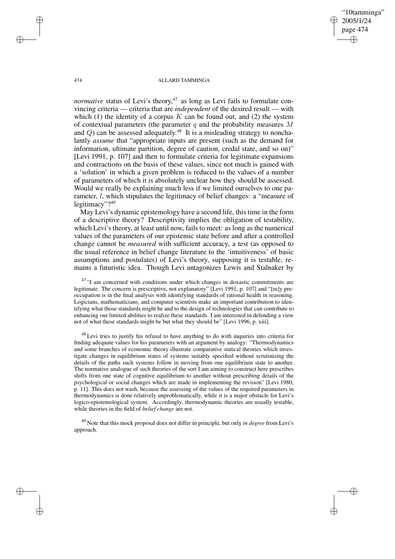"10tamminga" 2005/1/24 page 474 ✐ ✐

✐

✐

#### 474 ALLARD TAMMINGA

*normative* status of Levi's theory,<sup>47</sup> as long as Levi fails to formulate convincing criteria — criteria that are *independent* of the desired result — with which (1) the identity of a corpus  $K$  can be found out, and (2) the system of contextual parameters (the parameter q and the probability measures  $M$ and  $Q$ ) can be assessed adequately.<sup>48</sup> It is a misleading strategy to nonchalantly *assume* that "appropriate inputs are present (such as the demand for information, ultimate partition, degree of caution, credal state, and so on)" [Levi 1991, p. 107] and then to formulate criteria for legitimate expansions and contractions on the basis of these values, since not much is gained with a 'solution' in which a given problem is reduced to the values of a number of parameters of which it is absolutely unclear how they should be assessed. Would we really be explaining much less if we limited ourselves to one parameter, l, which stipulates the legitimacy of belief changes: a "measure of legitimacy"?<sup>49</sup>

May Levi's dynamic epistemology have a second life, this time in the form of a descriptive theory? Descriptivity implies the obligation of testability, which Levi's theory, at least until now, fails to meet: as long as the numerical values of the parameters of our epistemic state before and after a controlled change cannot be *measured* with sufficient accuracy, a test (as opposed to the usual reference in belief change literature to the 'intuitiveness' of basic assumptions and postulates) of Levi's theory, supposing it is testable, remains a futuristic idea. Though Levi antagonizes Lewis and Stalnaker by

<sup>47</sup> "I am concerned with conditions under which changes in doxastic commitments are legitimate. The concern is prescriptive, not explanatory" [Levi 1991, p. 107] and "[m]y preoccupation is in the final analysis with identifying standards of rational health in reasoning. Logicians, mathematicians, and computer scientists make an important contribution to identifying what those standards might be and to the design of technologies that can contribute to enhancing our limited abilities to realize these standards. I am interested in defending a view not of what these standards might be but what they should be" [Levi 1996, p. xiii].

<sup>48</sup> Levi tries to justify his refusal to have anything to do with inquiries into criteria for finding adequate values for his parameters with an argument by analogy: "Thermodynamics and some branches of economic theory illustrate comparative statical theories which investigate changes in equilibrium states of systems suitably specified without scrutinizing the details of the paths such systems follow in moving from one equilibrium state to another. The normative analogue of such theories of the sort I am aiming to construct here prescribes shifts from one state of cognitive equilibrium to another without prescribing details of the psychological or social changes which are made in implementing the revision" [Levi 1980, p. 11]. This does not wash, because the assessing of the values of the required parameters in thermodynamics is done relatively unproblematically, while it is a major obstacle for Levi's logico-epistemological system. Accordingly, thermodynamic theories are usually testable, while theories in the field of *belief change* are not.

<sup>49</sup> Note that this mock proposal does not differ in principle, but only *in degree* from Levi's approach.

✐

✐

✐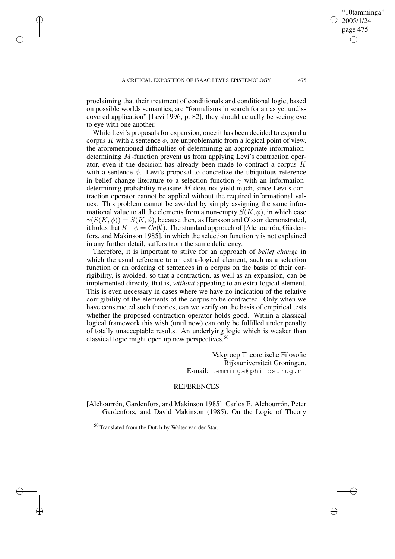✐

✐

✐

proclaiming that their treatment of conditionals and conditional logic, based on possible worlds semantics, are "formalisms in search for an as yet undiscovered application" [Levi 1996, p. 82], they should actually be seeing eye to eye with one another.

While Levi's proposals for expansion, once it has been decided to expand a corpus K with a sentence  $\phi$ , are unproblematic from a logical point of view, the aforementioned difficulties of determining an appropriate informationdetermining M-function prevent us from applying Levi's contraction operator, even if the decision has already been made to contract a corpus K with a sentence  $\phi$ . Levi's proposal to concretize the ubiquitous reference in belief change literature to a selection function  $\gamma$  with an informationdetermining probability measure  $M$  does not yield much, since Levi's contraction operator cannot be applied without the required informational values. This problem cannot be avoided by simply assigning the same informational value to all the elements from a non-empty  $S(K, \phi)$ , in which case  $\gamma(S(K, \phi)) = S(K, \phi)$ , because then, as Hansson and Olsson demonstrated, it holds that  $K-\phi = Cn(\emptyset)$ . The standard approach of [Alchourrón, Gärdenfors, and Makinson 1985], in which the selection function  $\gamma$  is not explained in any further detail, suffers from the same deficiency.

Therefore, it is important to strive for an approach of *belief change* in which the usual reference to an extra-logical element, such as a selection function or an ordering of sentences in a corpus on the basis of their corrigibility, is avoided, so that a contraction, as well as an expansion, can be implemented directly, that is, *without* appealing to an extra-logical element. This is even necessary in cases where we have no indication of the relative corrigibility of the elements of the corpus to be contracted. Only when we have constructed such theories, can we verify on the basis of empirical tests whether the proposed contraction operator holds good. Within a classical logical framework this wish (until now) can only be fulfilled under penalty of totally unacceptable results. An underlying logic which is weaker than classical logic might open up new perspectives. $50$ 

> Vakgroep Theoretische Filosofie Rijksuniversiteit Groningen. E-mail: tamminga@philos.rug.nl

### REFERENCES

[Alchourrón, Gärdenfors, and Makinson 1985] Carlos E. Alchourrón, Peter Gärdenfors, and David Makinson (1985). On the Logic of Theory

<sup>50</sup> Translated from the Dutch by Walter van der Star.

"10tamminga" 2005/1/24 page 475

✐

✐

✐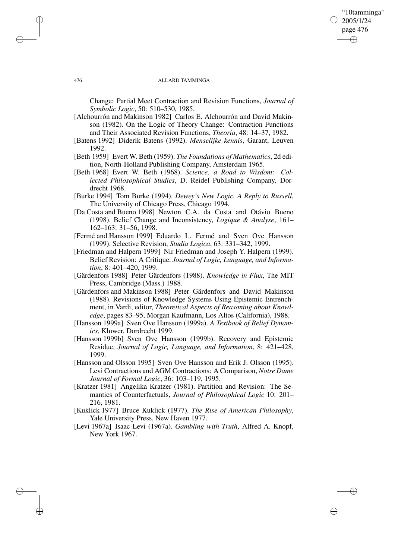## "10tamminga" 2005/1/24 page 476 ✐ ✐

✐

✐

### 476 ALLARD TAMMINGA

Change: Partial Meet Contraction and Revision Functions, *Journal of Symbolic Logic*, 50: 510–530, 1985.

- [Alchourrón and Makinson 1982] Carlos E. Alchourrón and David Makinson (1982). On the Logic of Theory Change: Contraction Functions and Their Associated Revision Functions, *Theoria*, 48: 14–37, 1982.
- [Batens 1992] Diderik Batens (1992). *Menselijke kennis*, Garant, Leuven 1992.
- [Beth 1959] Evert W. Beth (1959). *The Foundations of Mathematics*, 2d edition, North-Holland Publishing Company, Amsterdam 1965.
- [Beth 1968] Evert W. Beth (1968). *Science, a Road to Wisdom: Collected Philosophical Studies*, D. Reidel Publishing Company, Dordrecht 1968.
- [Burke 1994] Tom Burke (1994). *Dewey's New Logic. A Reply to Russell*, The University of Chicago Press, Chicago 1994.
- [Da Costa and Bueno 1998] Newton C.A. da Costa and Otávio Bueno (1998). Belief Change and Inconsistency, *Logique & Analyse*, 161– 162–163: 31–56, 1998.
- [Fermé and Hansson 1999] Eduardo L. Fermé and Sven Ove Hansson (1999). Selective Revision, *Studia Logica*, 63: 331–342, 1999.
- [Friedman and Halpern 1999] Nir Friedman and Joseph Y. Halpern (1999). Belief Revision: A Critique, *Journal of Logic, Language, and Information*, 8: 401–420, 1999.
- [Gärdenfors 1988] Peter Gärdenfors (1988). *Knowledge in Flux*, The MIT Press, Cambridge (Mass.) 1988.
- [Gärdenfors and Makinson 1988] Peter Gärdenfors and David Makinson (1988). Revisions of Knowledge Systems Using Epistemic Entrenchment, in Vardi, editor, *Theoretical Aspects of Reasoning about Knowledge*, pages 83–95, Morgan Kaufmann, Los Altos (California), 1988.
- [Hansson 1999a] Sven Ove Hansson (1999a). *A Textbook of Belief Dynamics*, Kluwer, Dordrecht 1999.
- [Hansson 1999b] Sven Ove Hansson (1999b). Recovery and Epistemic Residue, *Journal of Logic, Language, and Information*, 8: 421–428, 1999.
- [Hansson and Olsson 1995] Sven Ove Hansson and Erik J. Olsson (1995). Levi Contractions and AGM Contractions: A Comparison, *Notre Dame Journal of Formal Logic*, 36: 103–119, 1995.
- [Kratzer 1981] Angelika Kratzer (1981). Partition and Revision: The Semantics of Counterfactuals, *Journal of Philosophical Logic* 10: 201– 216, 1981.
- [Kuklick 1977] Bruce Kuklick (1977). *The Rise of American Philosophy*, Yale University Press, New Haven 1977.
- [Levi 1967a] Isaac Levi (1967a). *Gambling with Truth*, Alfred A. Knopf, New York 1967.

✐

✐

✐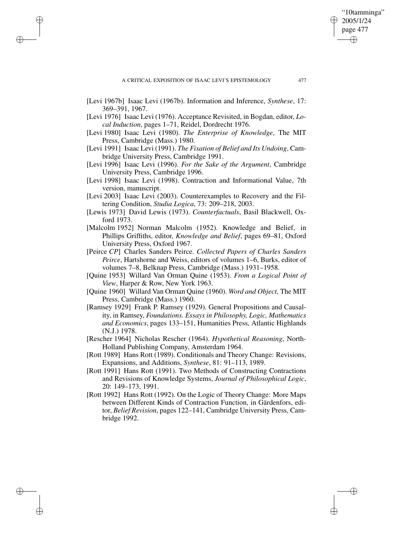✐

✐

✐

- [Levi 1967b] Isaac Levi (1967b). Information and Inference, *Synthese*, 17: 369–391, 1967.
- [Levi 1976] Isaac Levi (1976). Acceptance Revisited, in Bogdan, editor, *Local Induction*, pages 1–71, Reidel, Dordrecht 1976.
- [Levi 1980] Isaac Levi (1980). *The Enterprise of Knowledge*, The MIT Press, Cambridge (Mass.) 1980.
- [Levi 1991] Isaac Levi (1991). *The Fixation of Belief and Its Undoing*, Cambridge University Press, Cambridge 1991.
- [Levi 1996] Isaac Levi (1996). *For the Sake of the Argument*, Cambridge University Press, Cambridge 1996.
- [Levi 1998] Isaac Levi (1998). Contraction and Informational Value, 7th version, manuscript.
- [Levi 2003] Isaac Levi (2003). Counterexamples to Recovery and the Filtering Condition, *Studia Logica*, 73: 209–218, 2003.
- [Lewis 1973] David Lewis (1973). *Counterfactuals*, Basil Blackwell, Oxford 1973.
- [Malcolm 1952] Norman Malcolm (1952). Knowledge and Belief, in Phillips Griffiths, editor, *Knowledge and Belief*, pages 69–81, Oxford University Press, Oxford 1967.
- [Peirce *CP*] Charles Sanders Peirce. *Collected Papers of Charles Sanders Peirce*, Hartshorne and Weiss, editors of volumes 1–6, Burks, editor of volumes 7–8, Belknap Press, Cambridge (Mass.) 1931–1958.
- [Quine 1953] Willard Van Orman Quine (1953). *From a Logical Point of View*, Harper & Row, New York 1963.
- [Quine 1960] Willard Van Orman Quine (1960). *Word and Object*, The MIT Press, Cambridge (Mass.) 1960.
- [Ramsey 1929] Frank P. Ramsey (1929). General Propositions and Causality, in Ramsey, *Foundations. Essays in Philosophy, Logic, Mathematics and Economics*, pages 133–151, Humanities Press, Atlantic Highlands (N.J.) 1978.
- [Rescher 1964] Nicholas Rescher (1964). *Hypothetical Reasoning*, North-Holland Publishing Company, Amsterdam 1964.
- [Rott 1989] Hans Rott (1989). Conditionals and Theory Change: Revisions, Expansions, and Additions, *Synthese*, 81: 91–113, 1989.
- [Rott 1991] Hans Rott (1991). Two Methods of Constructing Contractions and Revisions of Knowledge Systems, *Journal of Philosophical Logic*, 20: 149–173, 1991.
- [Rott 1992] Hans Rott (1992). On the Logic of Theory Change: More Maps between Different Kinds of Contraction Function, in Gärdenfors, editor, *Belief Revision*, pages 122–141, Cambridge University Press, Cambridge 1992.

"10tamminga" 2005/1/24 page 477

✐

✐

✐